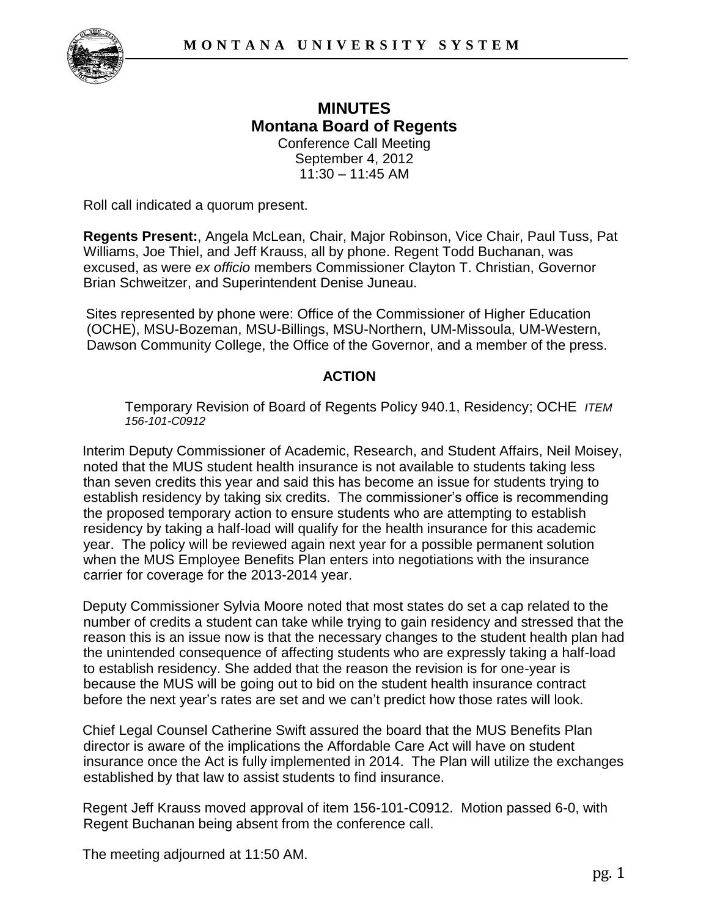

## **MINUTES Montana Board of Regents**  Conference Call Meeting September 4, 2012

 $11:30 - 11:45$  AM

Roll call indicated a quorum present.

**Regents Present:**, Angela McLean, Chair, Major Robinson, Vice Chair, Paul Tuss, Pat Williams, Joe Thiel, and Jeff Krauss, all by phone. Regent Todd Buchanan, was excused, as were *ex officio* members Commissioner Clayton T. Christian, Governor Brian Schweitzer, and Superintendent Denise Juneau.

Sites represented by phone were: Office of the Commissioner of Higher Education (OCHE), MSU-Bozeman, MSU-Billings, MSU-Northern, UM-Missoula, UM-Western, Dawson Community College, the Office of the Governor, and a member of the press.

## **ACTION**

Temporary Revision of Board of Regents Policy 940.1, Residency; OCHE *ITEM 156-101-C0912*

Interim Deputy Commissioner of Academic, Research, and Student Affairs, Neil Moisey, noted that the MUS student health insurance is not available to students taking less than seven credits this year and said this has become an issue for students trying to establish residency by taking six credits. The commissioner's office is recommending the proposed temporary action to ensure students who are attempting to establish residency by taking a half-load will qualify for the health insurance for this academic year. The policy will be reviewed again next year for a possible permanent solution when the MUS Employee Benefits Plan enters into negotiations with the insurance carrier for coverage for the 2013-2014 year.

Deputy Commissioner Sylvia Moore noted that most states do set a cap related to the number of credits a student can take while trying to gain residency and stressed that the reason this is an issue now is that the necessary changes to the student health plan had the unintended consequence of affecting students who are expressly taking a half-load to establish residency. She added that the reason the revision is for one-year is because the MUS will be going out to bid on the student health insurance contract before the next year's rates are set and we can't predict how those rates will look.

Chief Legal Counsel Catherine Swift assured the board that the MUS Benefits Plan director is aware of the implications the Affordable Care Act will have on student insurance once the Act is fully implemented in 2014. The Plan will utilize the exchanges established by that law to assist students to find insurance.

Regent Jeff Krauss moved approval of item 156-101-C0912. Motion passed 6-0, with Regent Buchanan being absent from the conference call.

The meeting adjourned at 11:50 AM.